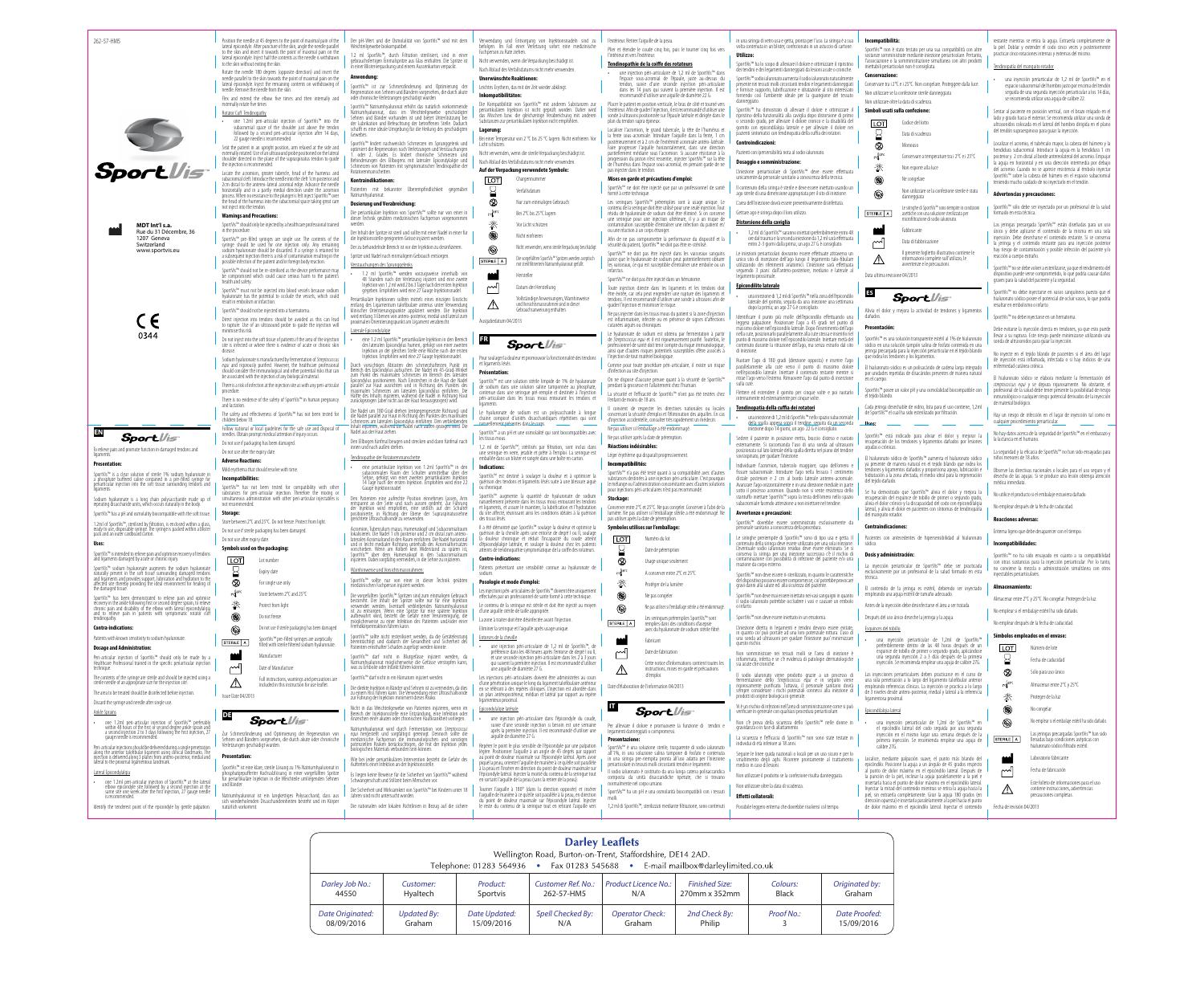262-57-HM5

**MDT Int'l s.a.** Rue du 31 Décembre, 36 1207 Geneva Switzerland www.sportvis.e



 $\epsilon$ 0344



## **Sport** Vis

**EN**

To relieve pain and promote function in damaged tendons and ligaments.

## **Presentation:**

portVis™ is a clear solution of sterile 1% sodium hyalurona a' phosphate buffered saline contained in a pre-filled syringe for<br>periarticular injection into the soft tissue surrounding tendons and ligaments.

Sodium hyaluronate is a long chain polysaccharide made up of repeating disaccharide units, which occurs naturally in the body. .<br>SportVis™ has a pH and osmolality biocompatible with the soft tissue.

1.2ml of SportVis™, sterilised by filtration, is enclosed within a glass, ready to use, disposable syringe. The syringe is packed within a blister pack and an outer cardboard carton.

#### **Uses:**

SportVis™ is intended to relieve pain and optimise recovery of tendons and ligaments damaged by acute or chronic injury.

SportVis<sup>ar</sup> sodium hyaluronate augments the sodium hyaluronate<br>naturally present in the soft tissue surrounding damaged tendors<br>and ligaments and provides support, lubrication and hydration to the<br>affected site thereby pr

SporVis<sup>m</sup> has been demonstrated to relieve pain and optimise<br>recovery in the ankle following first or second degree sprain, to relieve<br>chronic pain and disability of the elbow with lateral epicondylalgia<br>and to relieve pa

The contents of the syringe are sterile and should be injected using a sterile needle of an appropriate size for the injection site.

• one 1.2ml peri-articular injection of SportVis™ at the lateral elbow epicondyle site followed by a second injection at the same site one week after the first'injection, 27 'gauge needle<br>is recommended.

#### **Contra-indications:**

Patients with known sensitivity to sodium hyaluronate. **Dosage and Administration:**

Peri-articular injection of SportVis™ should only be made by a Healthcare Professional trained in the specific periarticular injection technique.

The area to be treated should be disinfected before injection. Discard the syringe and needle after single use.

## Ankle Sprains

• one 1.2ml peri-articular injection of SportVis™ preferably within 48 hours of the first or second degree ankle sprain and a second injection 2 to 3 days following the first injection, 27 gauge needle is recommended.

Peri-articular injections should be delivered during a single penetration along the anterior talofibular ligament using clinical landmarks. The injection is delivered along 3 planes from antero-posterior, medial and lateral to the proximal ligamentous landmark. SportVis™ pre-filled syringes are single use. The contents of the<br>syringe should be used for one injection only. Any remaining<br>sodium hyaluronate should be discarded. If a syringe is retained for a subsequent injection there is a risk of contamination resulting in the possible infection of the patient and/or foreign body reaction. SportVis™ should not be re-sterilised as the device performance may be compromised which could cause serious harm to the patient's

#### Lateral Epicondylalgia

Identify the tenderest point of the epicondyle by gentle palpation.

lateral epicondyle. Inject half the contents as the needle is withdrawn

to the skin without exiting the skin.

Rotate the needle 180 degrees (opposite direction) and insert the needle parallel to the skin towards the point of maximal pain on th lateral epicondyle. Inject the remaining contents on withdrawing of needle. Remove the needle from the skin. Flex and extend the elbow five times and then internally and

SportVis™ has not been tested for compatibility with other<br>substances for peri-articular iniection. Therefore the mixing or substances for peri-articular injection. Therefore the mixing or simultaneous administration with other peri-articular injectables is not recommended.

Do not use after expiry date **Symbols used on the packaging:** Lot number Expiry date For single use only Store between 2°C and 25°C Protect from light Do not freeze

LOT

只

 $^{\circledR}$ 

 $25<sup>25</sup>$ 

茶

۱

 $^{\circledR}$ STERILE A

m

externally rotate five times Rotator Cuff Tendinopathy

the injection is recom-

Do not use if sterile packaging has been damaged SportVis™ pre-filled syringes are aseptically filled with sterile filtered sodium hyaluronate.

• one 1.2ml peri-articular injection of SportVis™ into the subacromial space of the shoulder just above the tendon followed by a second peri-articular injection after 14 days,

Natriumhyaluronat ist ein langkettiges Polysaccharid, dass aus sich wiederholenden Disaccharideinheiten besteht und im Körper Die Sicherheit und Wirksamkeit von SportVis™ bei Kindern unter 18<br>Jahren sind nicht untersucht worden.

Seat the patient in an upright position, arm relaxed at the side and externally rotated. Use of an ultrasound probe positioned on the lateral shoulder directed in the plane of the supraspinatus tendon to guide

nmalspritze aus Glas enthalten. Die Spritze ist in einer Blisterverpackung und einem Aussenkarton verpackt.

SportVis™ ist zur Schmerzlinderung und Optimierung ehnen und Bändern vorgesehen, die durch akut oder chronische Verletzungen geschädigt wurden

Locate the acromion, greater tubercle, head of the humerus and subacromial cleft. Introduce the needle into the cleft 1cm posterior and 2cm distal to the antereo-lateral acromial edge. Advance the needle horizontally and in a partly medial direction under the acromion process. When no resistance to the plunger is felt inject SportVis™ over the head of the humerus into the subacromial space taking great care

not inject into the tendon. **Warnings and Precautions:**

Indert nachweislich Schmerzen im Sprunggelenk und optimiert die Regeneration nach Verletzungen und Verstauchungen 1. oder 2. Grades. Es lindert chronische Schmerzen und Behinderungen des Ellbogens mit lateraler Epicondylalgie und chmerzen von Patienten mit symptomatischer Tendinopathie der Rotatorenmanschetten.

SportVis™ should only be injected by a healthcare professional trained

in the procedure.

die Injektionsstelle geeigneten Grösse injiziert werden. Der zu behandelnde Bereich ist vor der Injektion zu desinfizieren.

48 Stunden nach der Verletzung injiziert und eine zweite Injektion von 1.2 ml wird 2 bis 3 Tage nach der ersten Injektion gegeben. Empfohlen wird eine 27 Gauge Injektionsnadel. Periartikuläre Injektionen sollten mittels eines einzigen Einstichs<br>Antlang des Ligamentum talofibulare anterius unter Verwendung

entlang des Ligamentum talofibulare anterius unter Verwendung<br>klinischer Orientierungspunkte appliziert werden. Die Injektion<br>wirdentlang 3 Ebenen von antero-posterior, medial und lateral zum<br>proximalen Orientierungspunkt

health and safety.

SportVis™ must not be injected into blood vessels because sodium hyaluronate has the potential to occlude the vessels, which could

result in embolism or infarction. SportVis™ should not be injected into a haematoma.

Direct injection into tendons should be avoided as this can lead to rupture. Use of an ultrasound probe to guide the injection will

Position the needle at 45 degrees to the point of maximal pain of the lateral epicondyle. After puncture of the skin, angle the needle parallel to the skin and insert it towards the point of maximal pain on the Der pH-Wert und die Osmolalität von SportVis™ sind mit dem Weichteilgewebe biokompatibel. 1.2 ml SportVis™, durch Filtration sterilisiert, sind in einer

minimise this risk.

Do not inject into the soft tissue of patients if the area of the injection site is infected or where there is evidence of acute or chronic skin

Den Ellbogen fünfmal beugen und strecken und dann fünfmal nach innen und nach außen dref

disease.

• eine periartikuläre Injektion von 1.2ml SportVis™ in den subacromialen Raum´der Schulter unmittelbar über der<br>Sehne, gefolgt von einer zweiten periartikulären Injektion<br>14 Tage nach der ersten Injektion. Empfohlen wird eine 22<br>Gauge Injektionsnadel

Den Patienten eine aufrechte Position einnehmen lassen, Arm<br>entspannt an der Seite und nach aussen gedreht. Zur Führung<br>der Injektion wird empfohlen, eine seitlich auf der Schulter<br>positionierte, in Richtung der Ebene der

Sodium hyaluronate is manufactured by fermentation of *Streptococcus*  equi and rigorously purified. However, the healthcare professional should consider the immunological and other potential risks that can be associated with the injection of any biological material. There is a risk of infection at the injection site as with any peri-articular

> Acromion, Tuberculum majus, Humeruskopf und Subacromialraum lokalisieren. Die Nadel 1 cm posterior und 2 cm distal zum anterolateralen Acromialrand in den Raum einführen. Die Nadel horizontal und in leicht medialer Richtung unterhalb des Acromialfortsatzes vorschieben. Wenn am Kolben kein Widerstand zu spüren ist, SportVis™ über dem Humeruskopf in den Subacromialraum^<br>injizieren. Dabei sorgfältig vermeiden, in die Sehne zu injizieren.

procedure.

There is no evidence of the safety of SportVis™ in human pregnancy

and lactation.

The safety and effectiveness of SportVis™ has not been tested for

children below 18.

Follow national or local guidelines for the safe use and disposal of needles. Obtain prompt medical attention if injury occur Do not use if packaging has been damaged. Do not use after the expiry date. **Adverse Reactions:** Mild erythema that should resolve with time.

**Incompatibilities:**

ortVis™ darf nicht in Blutgefässe injiziert werden, Natriumhyaluronat möglicherweise die Gefässe verstopfen kann, was zu Embolie oder Infarkt führen könnte.

**Storage:**

Nicht in das Weichteilgewebe von Patienten injizieren, wenn im Bereich der Injektionsstelle eine Entzündung, eine Infektion oder uer injektivnsstehe eine Entzundung, eine infektivn v<br>Poleiner akuten oder chronischen Hautkrankheit vorliege

Natriumhyaluronat wird durch Fermentation von *Streptococcus*<br>equ*i* hergestellt und sorgfältigst gereinigt. Dennoch sollte die<br>medizinische Fachperson die immunologischen und sonstigen<br>potenziellen Risiken berücksichtigen

Store between 2°C and 25°C. Do not freeze. Protect from light. Do not use if sterile packaging has been damaged.

> Wie bei jeder periartikulären Intervention besteht die Gefahr des einer Infektion an der Injektionsstell

Es liegen keine Beweise für die Sicherheit von SportVis™ während<br>Schwangerschaft und Stillzeit beim Menschen vor.

Manufacturer Date of Manufacture

22 gauge needle is recommended

Full instructions, warnings and precautions are included in this instruction for use leaflet.

Issue Date 04/2013

 $\triangle$ 

**DE**

Zur Schmerzlinderung und Optimierung der Regeneration von Sehnen und Bändern vorgesehen, die durch akute oder chronische Verletzungen geschädigt wurden.

SportVis

**Presentation:**

Die Kompatibilität von SportVis™ mit anderen Substanzen zur<br>periartikulären Injektion ist nicht geprüft worden. Daher wird<br>das Mischen bzw. die gleichzeitige Verabreichung mit anderen<br>Substanzen zur periartikulären|njekti **Lagerung:**

SportVis™ ist eine klare, sterile Lösung zu 1% Natriumhyaluronat in osphatgepufferter Kochsalzlösung in einer vorgefüllten Spritz für periartikuläre Injektion in die Weichteile umliegenden Sehnen

und Bänder

Nicht verwenden, wenn sterile Verpackung beschädi  $^{\circledR}$ Die vorgefüllten SportVis™ Spritzen werdenaseptisch

STERILE A mit sterilfiltriertem Natriumhyaluronat gefüllt

natürlich vorkommt.

## **FR Sport** Vis

#### Pour soulager la douleur et promouvoir la fonctionnalité des tendon et ligaments lésés.

## **Anwendung:**

guérison des tectures à soulager la douteur et à optimisér<br>uérison des tendons et ligaments lésés suite à une blessure aigu ou chronique. SportVis™ augmente la quantité de hyaluronate de sodium

SportVis™ Natriumhyaluronat erhöht das natürlich vorkommende Natriumhyaluronat, dass im Weichteilgewebe geschädigter Sehnen und Bänder vorhanden ist und bietet Unterstützung bei der Lubrikation und Befeuchtung der betroffenen Stelle. Dadurch schafft es eine ideale Umgebung für die Heilung des geschädigten Gewebes.

## **Kontraindikationen:**

### Patienten mit bekannter Überempfindlichkeit gegenüber Natriumhyaluronat.

## **Dosierung und Verabreichung:**

Die periartikuläre Injektion von SportVis™ sollte nur von einer in dieser Technik geübten medizinischen Fachperson vorgenommen werden. Der Inhalt der Spritze ist steril und sollte mit einer Nadel in einer für

> suivie d'une seconde injection si besoin est une semaine après la première injection. Il est recommandé d'utiliser une après la prémière injectite<br>aiguille de diamètre 27 G

Spritze und Nadel nach einmaligem Gebrauch entsorgen. Verstauchungen des Sprunggelenks

• 1.2 ml SportVis™ werden vorzugsweise innerhalb von

Repérer le point le plus sensible de l'épicondyle par une palpation nner l'aiguille à un angle de 45 degrés par rapport au point de douleur maximale sur l'épicondyle latéral. Après avoir piqué la peau, orienter l'aiguille de manière à ce qu'elle soit parallèle à la peau et l'insérer en direction du point de douleur maximale sur l'épicondyle latéral. Injecter la moitié du contenu de la seringue tout en sortant l'aiguille de la peau (sans la retirer de la peau).

Tourner l'aiguille à 180° (dans la direction opposée) et insérer l'aiguille de manière à ce qu'elle soit parallèle à la peau, en direction du point de douleur maximale sur l'épicondyle latéral. Injecter<br>le reste du contenu de la seringue tout en retirant l'aiguille vers

### Laterale Epicondylalgie

• eine 1.2 ml SportVis™ periartikuläre Injektion in den Bereich des lateralen Epicondylus humeri, gefolgt von einer zweiten Injektion an der gleichen Stelle eine Woche nach der ersten Injektion. Empfohlen wird eine 27 Gauge Injektionsnadel.

Durch vorsichtiges Abtasten den schmerzhattesten Punkt im<br>Bereich des Epicondylus aufsuchen. Die Nadel im 45-Grad-Winkel<br>zum Punkt des maximalen Schmerzes im Bereich des Jateralen<br>Epicondylus positionieren. Nach Einstechen zurückgezogen (aber nicht aus der Haut herausgezogen) wird.

pas injecter dans le tendon **Mises en garde et précautions d'emploi:** SportVis™ ne doit être injecté que par un professionnel de santé

Die Nadel um 180 Grad drehen (entgegengesetzte Richtung) und die Nadel parallel zur Haut in Richtung des Punktes des maximalen Schmerzes am lateralen Epicondylus einführen. Den verbleibenden Inhalt injizieren, während die Nadel nach außen gezogen wird. Die Nadel aus der Haut ziehen.

## Tendinopathie der Rotatorenmanschette

SportVis™ n'a pas été testé quant à sa compatibilité avec d'autres substances destinées à une injection péri-articulaire. C'est pourquoi le mélange ou l'administration concomitante avec d'autres solutions pour ge un déminisation concommancé de<br>ur injections néri-articulaires n'est nas recomm

> Ne pas utiliser si l'emballage stérile a été endommagé. Les seringues préremplies SportVis™ sont remplies dans des conditions d'asepsie avec du hyaluronate de sodium stérile filtre

legamenti danneggiati o compromess **Presentazione:**

ortVis™ è una soluzione sterile, trasparente di sodio ialuronat in una soluzione salina tampone di fosfato e co in una siringa pre-riempita pronta all'uso adatta per l'iniezione periarticolare in tessuti molli circostanti tendini e legamenti. Il sodio ialuronato è costituito da una lunga catena polisaccaridica composta da unità disaccaridiche ripetute, che si trovano

## Warnhinweise und Vorsichtsmassnahmen:

SportVis™ sollte nur von einer in dieser Technik geübten medizinischen Fachperson injiziert werden.

defüllten SportVis™ Spritzen sind zum einm bestimmt. Der Inhalt der Spritze sollte nur für eine Injektion verwendet werden. Eventuell verbleibendes Natriumhyaluronat ist zu entsorgen. Wenn eine Spritze für eine spätere Injektion aufbewahrt wird, besteht die Gefahr einer Verunreinigung, die möglicherweise zu einer Infektion des Patienten und/oder einer emdkörperreaktion führen kann.

SportVis™ sollte nicht resterilisiert werden, da die Geräteleistung<br>beeinträchtigt und dadurch der Gesundheit und Sicherheit des<br>Patienten ernsthafter Schaden zugefügt werden könnte.

• 1,2 ml di SportVis™ saranno iniettati preferibilmente entro 48 ore dal trauma e la seconda iniezione da 1,2 ml sarà effettuata entro 2-3 giorni dalla prima; un ago 27 G è consigliato. ioni periarticolari dovranno essere effettuate attraverso u unico sito di inserzione dell'ago lungo il legamento talo-fibulare<br>utilizzando dei riferimenti anatomici. L'iniezione sarà effettuata<br>seguendo 3 piani: dall'antero-posteriore, mediano e laterale al

SportVis™ darf nicht in ein Hämatom injiziert werden.

Die direkte Injektion in Bänder und Sehnen ist zu vermeiden, da dies zu einem Riss führen kann. Die Verwendung einer Ultraschallsonde zur Führung der Injektion minimiert dieses Risiko.

Flettere ed estendere il gomito per cinque volte e poi ruotarlo iente per cinque volte

Die nationalen oder lokalen Richtlinien in Bezug auf die sichere

SportVis™ dovrebbe essere somministrato esclusivamente da personale sanitario a conoscenza della procedura.

Le siringhe preriempite di SportVis™ sono di tipo usa e getta. Il<br>contenuto della siringa deve essere utilizzato per una sola iniezione.<br>L'eventuale sodio ialuronato residuo deve essere eliminato. Se si<br>conserva la siringa

Nach Ablauf des Verfallsdatums nicht mehr verwenden. **Unerwünschte Reaktionen:** Leichtes Erythem, das mit der Zeit wieder abklingt.

**Inkompatibilitäten:**

oortVis™ non deve essere ri-sterilizzato, in quanto le caratteristche del dispositivo possono essere compromesse; cio' potrebbe provocare gravi danni alla salute ed alla sicurezza del paziente. SportVis™ non deve mai essere iniettato nei vasi sanguigni in quanto il sodio ialuronato potrebbe occludere i vasi e causare un embolo

Bei einer Temperatur von 2 °C bis 25 °C lagern. Nicht einfrieren. Vor Licht schütz Nicht verwenden, wenn die sterile Verpackung beschädigt ist.

Nach Ablauf des Verfallsdatums nicht mehr verwenden.

## **Auf der Verpackung verwendete Symbole:** Chargennummer

 $\mathbf{Z}$ 

ାୟ

 $25$ 迷 Œ Verfallsdatum Nur zum einmaligen Gebrauch Bei 2°C bis 25°C lagern

Vor Licht schützen

Nicht einfrieren

Hersteller  $\mathbb{C}^1$ Datum der Herstellung

Vollständige Anweisungen, Warnhinweise und Vorsichtsmassnahmen sind in dieser

 $\triangle$ mu vorscheinderweisung .......<br>Gebrauchsanweisung enthalten.

Ausgabedatum 04/2013

**Présentation:** oortVis™ est une solution stérile limpide de 1% de hyaluronate de sodium dans une solution saline tamponnée au phosphate, contenue dans une seringue pré-remplie et destinée à l'injection péri-articulaire dans les tissus mous entourant les tendons et ligaments.

SportVis™ es una solución transparente estéril al 1% de hialuronato sódico en una solución tampón salina de fosfato contenida en una jeringa precargada para la inyección periarticular en el tejido bland hes v los ligamentos

Le hyaluronate de sodium est un polysaccharide à longue chaine composé d'unités disaccharidiques répétitives qui sont naturellement présentes dans le corps. SportVis™ a un pH et une osmolalité qui sont biocompatibles avec

les tissus mous. 1,2 ml de SportVis™, stérilisés par filtration, sont inclus dans une seringue en verre, jetable et prête à l'emploi. La seringue est

## emballée dans un blister et rangée dans une boîte en carton.

**Indications:** SportVis™ est destiné à soulager la douleur et à optimiser la

> Se ha demostrado que SportVis™ alivia el dolor y mejora la recuperación del esguince de tobillo de primer o segundo grado, alivia el dolor crónico y la discapacidad del codo con epicondilalgia alivia el dolor elofileo y la discapacidad del codo con epicolidilalg<br>lateral, y alivia el dolor en nacientes con síntomas de tendinonat

> Pacientes con antecedentes de hipersensibilidad al hialuronato

contenido de la jeringa es estéril, debiendo ser invectado empleando una aguja estéril de tamaño adecuado.

naturellement présente dans les tissus mous entourant les tendons et ligaments, et assure le maintien, la lubrification et l'hydratation du site affecté, réunissant ainsi les conditions idéales à la guérison des tissus lésés. Il a été démontré que SportVis™ soulage la douleur et optimise la guérison de la cheville après une entorse de degré I ou II, soulage

Verwendung und Entsorgung von Injektionsnadeln sind zu befolgen. Im Fall einer Verletzung sofort eine medizinische Fachperson zu Rate ziehen. Nicht verwenden, wenn die Verpackung beschädigt ist. Plier et étendre le coude cinq fois, puis le tourner cinq fois vers **Tendinopathie de la coiffe des rotateurs**

la douleur chronique et réduit l'incapacité du coude atteint d'épicondylalgie latérale, et soulage la douleur chez les patients atteints de tendinopathie symptomatique de la coiffe des rotateurs. **Contre-indications:**

#### Patients présentant une sensibilité connue au hyaluronate de sodium.

**Posologie et mode d'emploi:**

Les injections péri-articulaires de SportVis™ doivent être uniquement effectuées par un professionnel de sante formé à cette technique.

Le contenu de la seringue est stérile et doit être injecté au moyen d'une aiguille stérile de taille appropriée.

> Localice, mediante palpación suave, el punto más blando de epicóndilo. Posicione la aguja a un ángulo de 45 grados respecto al punto de dolor máximo en el epicóndilo lateral. Después de la punción de la piel, inclinar la aguja paralelamente a la piel e insertarla hacia el punto de dolor máximo en el epicóndilo lateral. Inyectar la mitad del contenido mientras se retira la aguja hacia la piel, sin extraerla completamente. Girar la aguja 180 grados (e dirección opuesta) e insertarla paralelamente a la piel hacia el punto de dolor máximo en el epicóndilo lateral. Inyectar el contenido

La zone à traiter doit être désinfectée avant l'injection.

Eliminer la seringue et l'aiguille après usage unique.

restante mientras se retira la aguja. Extraerla completamente d la piel. Doblar y extender el codo cinco veces y posteriormente practicar cinco rotaciones internas y externas del mismo.

## Entorses de la cheville

• une injection péri-articulaire de 1,2 ml de SportVis™, de préférence dans les 48 heures après l'entorse de degré I ou II, et une seconde injection péri-articulaire dans les 2 à 3 jours qui suivent la première injection. Il est recommandé d'utilise une aiguille de diamètre 27 G.

Les injections péri-articulaires doivent être administrées au cours<br>d'une pérétration unique le long du ligament talofibulaire antérieur<br>en se référant à des repères cliniques. L'injection est abordée dans<br>un plan antéropo

portVis™ sólo debe ser inyectado por un profesional de la salud formado en esta técnica.

#### Epicondylalgie latérale • une injection péri-articulaire dans l'épicondyle du coude,

Las jeringas precargada SportVis™ están diseñadas para un uso único y debe aplicarse el contenido de la misma en una sola inyección. Debe desecharse el contenido restante. Si se conserva la jeringa y el contenido restante para una inyección posterior hay riesgo de contaminación y posible infección del paciente y/ reacción a cuerpo extraño.

Observe las directivas nacionales o locales para el uso seguro y el desecho de las agujas. Si se produce una lesión obtenga atención nédica inmediat

l'extérieur. Retirer l'aiguille de la peau.

• une injection péri-articulaire de 1,2 ml de SportVis™ dans l'espace sous-acromial de l'épaule, juste au-dessus du tendon, suivie d'une seconde injection péri-articulaire dans les 14 jours qui suivent la première injection. Il est recommandé d'utiliser une aiguille de diamètre 22 G. Placer le patient en position verticale, le bras de côté et tourné vers<br>l'extérieur. Afin de guider l'injection, il est recommandé d'utiliser une<br>sonde à ultrasons positionnée sur l'épaule latérale et dirigée dans le<br>plan Localiser l'acromion, le grand tubercule, la tête de l'humérus et la fente sous-acromiale. Introduire l'aiguille dans la fente, 1 cm postérieurement et à 2 cm de l'extrémité acromiale antéro-latérale. aire progresser l'aiguille horizontalement, dans une direction pent médiane sous l'acromion. Si aucune résistance à la progression du piston n'est ressentie, injecter SportVis™ sur la tête de l'humérus dans l'espace sous-acromial, en prenant garde de ne

formé à cette technique.

Les seringues SportVis™ préremplies sont à usage unique. Le contenu de la seringue doit être utilisé pour une seule injection. Tout résidu de hyaluronate de sodium doit être éliminé. Si on conserve une seringue pour une injection ultérieure, il y a un risque de contamination susceptible d'entraîner une infection du patient et/

ou une réaction à un corps étranger.

Afin de ne pas compromettre la performance du dispositif et la sécurité du patient, SportVis™ ne doit pas être re-stérilisé. SportVis™ ne doit pas être injecté dans les vaisseaux sanguins parce que le hyaluronate de sodium peut potentiellement obturer les vaisseaux, ce qui est susceptible d'entraîner une embolie ou un

infarctus.

SportVis™ ne doit pas être injecté dans un hématome. Toute injection directe dans les ligaments et les tendons doit être évitée, car cela peut engendrer une rupture des ligaments et tendons. Il est recommandé d'utiliser une sonde à ultrasons afin de

'intérieur et vers l'extérieur

guider l'injection et minimiser le risque.

Ne pas injecter dans les tissus mous du patient si la zone d'injection est inflammatoire, infectée ou en présence de signes d'affections cutanées aiguës ou chroniques. Le hyaluronate de sodium est obtenu par fermentation à partir de *Streptococcus equi* et il est rigoureusement purifié. Toutefois, le professionnel de santé doit tenir compte du risque immunologique, ainsi que d'autres risques potentiels susceptibles d'être associés à

l'injection de tout matériel biologique.

Comme pour toute procédure péri-articulaire, il existe un risque

d'infection au site d'injection.

On ne dispose d'aucune preuve quant à la sécurité de SportVis™ pendant la grossesse et l'allaitement chez l'humain. La sécurité et l'efficacité de SportVis™ n'ont pas été testées chez

l'enfant de moins de 18 ans.

Il convient de respecter les directives nationales ou locales concernant la sécurité d'emploi et l'élimination des aiguilles. En cas d'injection accidentelle, consulter très rapidement un médecin.

Ne pas utiliser si l'emballage a été endommagé. Ne pas utiliser après la date de péremption. **Réactions indésirables:** Léger érythème qui disparaît progressiveme Incompatibilités:

**Stockage:**

 $\overline{\text{LOT}}$ 

⊗

 $rel^{25}$ 

类

 $^{\circledR}$ 

 $\circledR$ 

STERILE A

 $\sim$ 

 $\triangle$ 

Conserver entre 2°C et 25°C. Ne pas congeler. Conserver à l'abri de la lumière. Ne pas utiliser si l'emballage stérile a été endommagé. Ne pas utiliser après la date de péremption.

**Symboles utilises sur l'emballage:** Numéro du lot Date de péremption Usage unique seulement A conserver entre 2°C et 25°C Protéger de la lumière Ne pas congeler

> Fabricant Date de fabrication

Cette notice d'informations contient toutes les instructions, mises en garde et précautions

 d'emploi. Date d'élaboration de l'information 04/2013

**IT**

Per alleviare il dolore e promuovere la funzione di tendini e

 $S$ port $\n *U*$ is

normalmente nel corpo umano.

SportVis™ ha un pH e una osmolarità biocompatibili con i tessuti

molli.

1,2 ml di SportVis™, sterilizzati mediante filtrazione, sono contenuti

in una siringa di vetro usa e getta, pronta per l'uso. La siringa è a sua volta contenuta in un blister, confezionato in un astuccio di cartone.

SportVis™ ha lo scopo di alleviare il dolore e ottimizzare il ripristin dei tendini e dei legamenti danneggiati da lesioni acute o croniche. SportVis™ sodio ialuronato aumenta il sodio ialuronato naturalmente presente nei tessuti molli circostanti tendini e legamenti danneggiati e fornisce supporto, lubrificazione e idratazione al sito interessato forme del periodi controllatione e indicatione di sito interessato

**Utilizzo:**

danneggiato.

SportVis™ ha dimostrato di alleviare il dolore e ottimizzare il ripristino della funzionalità alla caviglia dopo distorsione di primo o secondo grado, per alleviare il dolore cronico e la disabilità del gomito con epicondilalgia laterale e per alleviare il dolore nei pazienti sintomatici con tendinopatia della cuffia dei rotatori.

**Controindicazioni:**

Pazienti con ipersensibilità nota al sodio ialuronato. **Dosaggio e somministrazione:**

L'iniezione periarticolare di SportVis™ deve essere effettuata unicamente da personale sanitario a conoscenza della tecnica. Il contenuto della siringa è sterile e deve essere iniettato usando un ago sterile di una dimensione appropriata per il sito di iniezione. L'area dell'iniezione dovrà essere preventivamente disinfettata. Gettare ago e siringa dopo il loro utilizzo. **Distorsione della caviglia**

legamento prossimale. **Epicondilite laterale**

• una iniezione di 1,2 ml di SportVis™ nella zona dell'epicondilo laterale del gomito, seguita da una iniezione una settimana dopo la prima; un ago 27 G è consigliato. dentificare il punto più molle dell'epicondilo effett leggera palpazione. Posizionare l'ago a 45 gradi nel punto di massimo dolore nelľ epicondilo laterale. Dopo l'inserimento dell'ago nella cute, posizionarlo parallelamente alla cute stessa e inserirlo n unto di massimo dolore nell'epicondilo laterale. Iniettare metà de contenuto durante la ritrazione dell'ago, ma senza estrarlo dal sito

di iniezione.

sulla cute

Ruotare l'ago di 180 gradi (direzione opposta) e inserire l'ago parallelamente alla cute verso il punto di massimo dolore nell'epicondilo laterale. Iniettare il contenuto restante mentre si ritrae l'ago verso l'esterno. Rimuovere l'ago dal punto di inserzione

**Tendinopatia della cuffia dei rotatori** una iniezione di 1,2 ml di SportVis™ nello spazio suba della spalla appena sopra il tendine, seguita da un seconda ione dopo 14 giorni: un ago 22 G è consig Sedere il paziente in posizione eretta, braccio disteso e ruotato esternamente. Si raccomanda l'uso di una sonda ad ultrasuoni posizionata sul lato laterale della spalla diretta nel piano del tendine

sovraspinato, per guidare l'iniezione.

Individuare l'acromion, tubercolo maggiore, capo dell'omero e fissure subacromiale. Introdurre l'ago nella fessura 1 centimetro distale posteriore e 2 cm al bordo laterale antereo-acromiale. Avanzare l'ago orizzontalmente e in una direzione mediale in parte<br>sotto il processo acromion. Quando non si sente resistenza dello<br>stantuffo iniettare SportVis™ sopra la testa dell'omero nello spazio subacromiale facendo attenzione a non iniettare nel tendine.

**Avvertenze e precauzioni:**

o infarto.

SportVis™ non deve essere iniettato in un ematoma. L'iniezione diretta in legamenti e tendini devono essere evitate in quanto cio' può portare ad una loro potenziale rottura. L'uso di una sonda ad ultrasuoni per guidare l'iniezione puo' minimizzare

questo rischio.

Non somministrare nei tessuti molli se l'area di iniezione è infiammata, infetta e se c'è evidenza di patologie dermatologiche sia acute che croniche.

Il sodio ialuronato viene prodotto grazie a un processo di<br>fermentazione dello *Streptococcus equi* e in seguito viene<br>rigorosamente purificato. Tuttavia, il personale sanitario dovrà<br>sempre considerare i rischi potenziali

prodotti di origine biologica in generale.

ai sicultata e Temeacia di Spe<br>ndividui di età inferiore ai 18 ann

Vi è un rischio di infezioni nell'area di somministrazione come si può verificare in generale con qualsiasi procedura periarticolare. Non c'è prova della sicurezza dello SportVis™ nelle donne in gravidanza o in fase di allattamento La sicurezza e l'efficacia di SportVis™ non sono state testate in

Seguire le linee guida nazionali o locali per un uso sicuro e per lo smaltimento degli aghi. Ricorrere prontamente al trattamento medico in caso di lesioni. Non utilizzare il prodotto se la confezione risulta danneggiata.

Non utilizzare oltre la data di scadenza. **Effetti collaterali:**

Possibile leggero eritema che dovrebbe risolversi col tempo.

**Incompatibilità:**

SportVis™ non è stato testato per una sua compatibilità con altre sostanze somministrate mediante iniezione periarticolare. Pertanto, l'associazione o la somministrazione simultanea con altri prodotti iniettabili periarticolari non è consigliata.

**Conservazione:**

**LOT**  $\sum$  $\otimes$  $25^\circ$ 

> 术 ۳

> $^{\circledR}$

STERILE | A

 $\sim$ 

⚠

Conservare tra i 2°C e i 25°C. Non congelare. Proteggere dalla luce. Non utilizzare se la confezione sterile danneggiata

### Non utilizzare oltre la data di scadenza. **Simboli usati sulla confezione:**

Codice del lotto

Data di scadenza

Monouso

Conservare a temperature tra i 2°C e i 25°C

Non esporre alla luce

Ne congelare

Non utilizzare se la confezione sterile è stata

danneggiata

Le siringhe di SportVis™ sono riempite in condizioni asettiche con una soluzione sterilizzata per microfiltrazione di sodio ialuronato.

Fabbricante

Data di fabbricazione

Il presente foglietto illustrativo contiene le informazioni complete sull'utilizzo, le avvertenze e le precauzioni.

 $Soort *U* is$ 

Data ultima revisione 04/2013

**ES**

Alivia el dolor y mejora la actividad de tendones y ligamentos

dañados. **Presentación:**

El hialuronato sódico es un polisacárido de cadena larga integrado por unidades repetidas de disacáridos presentes de manera natural

en el cuerpo.

SportVis™ posee un valor pH y una osmolalidad biocompatible con

el tejido blando.

Cada jeringa desechable de vidrio, lista para el uso contiene, 1,2ml de SportVis™ el cual ha sido esterilizado por filtración.

**Usos:**

SportVis™ está indicado para aliviar el dolor y mejorar la recuperación de los tendones y ligamentos dañados por lesiones

agudas o crónicas.

El hialuronato sódico de SportVis™ aumenta el hialuronato sódico ya presente de manera natural en el tejido blando que rodea los tendones y ligamentos dañados y proporciona apoyo, lubricación e hidratación a la zona afectada, el medio ideal para la regeneración

del tejido dañado.

del manguito rotador. **Contraindicaciones:**

sódico.

**Dosis y administración:**

La inyección periarticular de SportVis™ debe ser practicada exclusivamente por un profesional de la salud formado en esta

técnica.

Antes de la inyección debe desinfectarse el área a ser tratada.

Después del uso único deseche la jeringa y la aguja.

Esguinces del tobillo

• una inyección periarticular de 1,2ml de SportVis™ preferiblemente dentro de las 48 horas después de un esguince de tobillo de primer o segundo grado, aplicándose una segunda inyección 2 a 3 días después de la primera inyección. Se recomienda emplear una aguja de calibre 27G.

Las inyecciones periarticulares deben practicarse en el curso de una sola penetración a lo largo del ligamento talofibular anterior empleando referencias clínicas. La inyección se practica a lo largo de 3 niveles desde antero-posterior, medial y lateral a la referencia

ligamentosa proximal. Epicondilalgia lateral

> • una inyección periarticular de 1,2ml de SportVis™ en el epicóndilo lateral del codo seguida por una segunda inyección en el mismo lugar una semana después de la primera inyección. Se recomienda emplear una aguja de

calibre 27G.

Tendinopatía del manguito rotador

• una inyección periarticular de 1,2 ml de SportVis™ en el espacio subacromial del hombro justo por encima del tendón seguida de una segunda inyección periarticular a los 14 días, se recomienda utilizar una aguja de calibre 22.

Sentar al paciente en posición vertical, con el brazo relajado en el lado y girado hacia el exterior. Se recomienda utilizar una sonda de ultrasonidos colocada en el lateral del hombro dirigida en el plano del tendón supraespinoso para guiar la inyección.

Localizar el acromio, el tubérculo mayor, la cabeza del húmero y la hendidura subacromial. Introducir la aguja en la hendidura 1 cm posterior y 2 cm distal al borde antereolateral del acromio. Empujar la aguja en horizontal y en una dirección intermedia por debajo del acromio. Cuando no se aprecie resistencia al émbolo invectar SportVis™ sobre la cabeza del húmero en el espacio subacromial teniendo mucho cuidado de no inyectarlo en el tendón.

### **Advertencias y precauciones:**

SportVis™ no se debe volver a esterilizarse, ya que el rendimiento del dispositivo puede verse comprometido, lo que podría causar daños graves para la salud del paciente y la seguridad.

SportVis™ no debe inyectarse en vasos sanguíneos puesto que el hialuronato sódico posee el potencial de ocluir vasos, lo que podría resultar en embolismo o infarto.

SportVis™ no debe inyectarse en un hematoma.

Debe evitarse la inyección directa en tendones, ya que esto puede llevar a su ruptura. Este riesgo puede minimizarse utilizando una sonda de ultrasonidos para guiar la inyección.

No inyecte en el tejido blando de pacientes si el área del lugar de invección está inflamada, infectada o si hay indicios de una enfermedad cutánea crónica.

El hialuronato sódico se elabora mediante la fermentación del *streptococcus equi* y se depura rigurosamente. No obstante, el profesional de la salud debe tener presente la posibilidad de riesgo inmunológico o cualquier riesgo potencial derivados de la inyección de material biológico.

Hay un riesgo de infección en el lugar de inyección tal como en cualquier procedimiento periarticular.

No hay datos acerca de la seguridad de SportVis™ en el embarazo y la lactancia en el humano.

La seguridad y la eficacia de SportVis™ no han sido ensayadas para niños menores de 18 años.

No utilice el producto si el embalaje estuviera dañado.

No emplear después de la fecha de caducidad.

#### **Reacciones adversas:**

Eritema ligero que debe desaparecer con el tiempo.

## **Incompatibilidades:**

SportVis™ no ha sido ensayado en cuanto a su compatibilidad con otras sustancias para la inyección periarticular. Por lo tanto, no conviene la mezcla o administración simultánea con otros inyectables periarticulares.

#### **Almacenamiento:**

Almacenar entre 2°C y 25°C. No congelar. Proteger de la luz.

No emplear si el embalaje estéril ha sido dañado.

## No emplear después de la fecha de caducidad.

|  | Símbolos empleados en el envase: |  |
|--|----------------------------------|--|
|--|----------------------------------|--|

|        | Número de lote                                                                                                                 |
|--------|--------------------------------------------------------------------------------------------------------------------------------|
|        | Fecha de caducidad                                                                                                             |
|        | Sólo para uso único                                                                                                            |
|        | Almacenar entre 2°C y 25°C                                                                                                     |
|        | Proteger de la luz                                                                                                             |
|        | No congelar                                                                                                                    |
|        | No emplear si el embalaje estéril ha sido dañado.                                                                              |
| TERILE | Las jeringas precargadas SportVis™ han sido<br>llenadas bajo condiciones asépticas con<br>hialuronato sódico filtrado estéril. |
|        | Laboratorio fabricante                                                                                                         |
|        | Fecha de fabricación                                                                                                           |
|        | Este folleto de informaciones para el uso<br>contiene instrucciones, advertencias<br>precauciones completas.                   |
|        |                                                                                                                                |

Fecha de revisión 04/2013